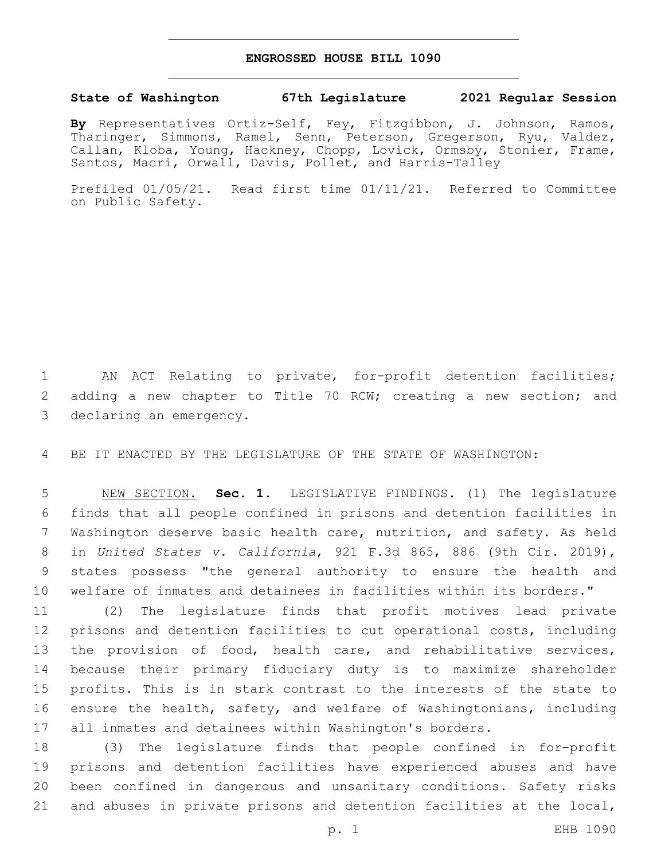## **ENGROSSED HOUSE BILL 1090**

## **State of Washington 67th Legislature 2021 Regular Session**

**By** Representatives Ortiz-Self, Fey, Fitzgibbon, J. Johnson, Ramos, Tharinger, Simmons, Ramel, Senn, Peterson, Gregerson, Ryu, Valdez, Callan, Kloba, Young, Hackney, Chopp, Lovick, Ormsby, Stonier, Frame, Santos, Macri, Orwall, Davis, Pollet, and Harris-Talley

Prefiled 01/05/21. Read first time 01/11/21. Referred to Committee on Public Safety.

 AN ACT Relating to private, for-profit detention facilities; 2 adding a new chapter to Title 70 RCW; creating a new section; and 3 declaring an emergency.

BE IT ENACTED BY THE LEGISLATURE OF THE STATE OF WASHINGTON:

 NEW SECTION. **Sec. 1.** LEGISLATIVE FINDINGS. (1) The legislature finds that all people confined in prisons and detention facilities in Washington deserve basic health care, nutrition, and safety. As held in *United States v. California*, 921 F.3d 865, 886 (9th Cir. 2019), states possess "the general authority to ensure the health and welfare of inmates and detainees in facilities within its borders."

 (2) The legislature finds that profit motives lead private prisons and detention facilities to cut operational costs, including the provision of food, health care, and rehabilitative services, because their primary fiduciary duty is to maximize shareholder profits. This is in stark contrast to the interests of the state to ensure the health, safety, and welfare of Washingtonians, including all inmates and detainees within Washington's borders.

 (3) The legislature finds that people confined in for-profit prisons and detention facilities have experienced abuses and have been confined in dangerous and unsanitary conditions. Safety risks and abuses in private prisons and detention facilities at the local,

p. 1 EHB 1090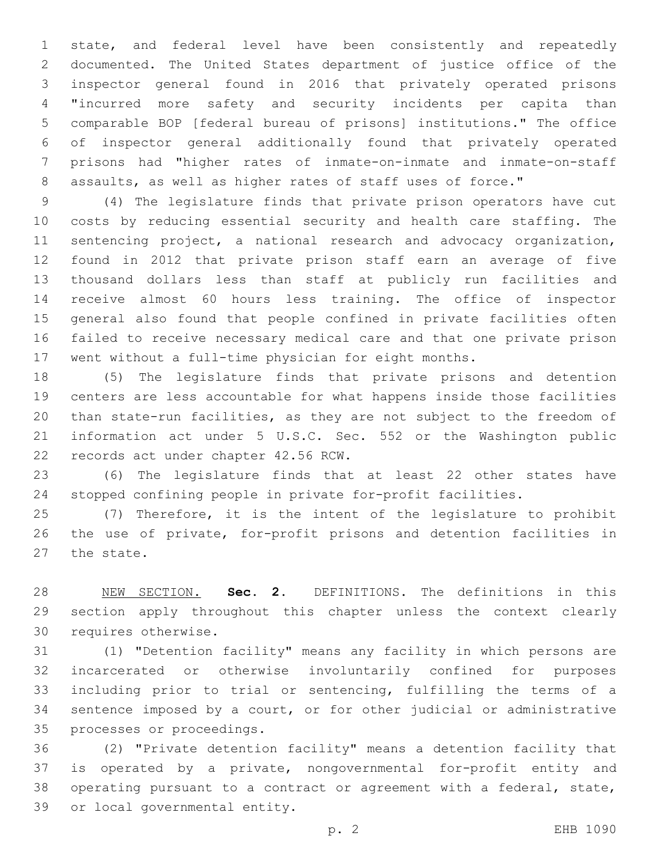state, and federal level have been consistently and repeatedly 2 documented. The United States department of justice office of the inspector general found in 2016 that privately operated prisons "incurred more safety and security incidents per capita than comparable BOP [federal bureau of prisons] institutions." The office of inspector general additionally found that privately operated prisons had "higher rates of inmate-on-inmate and inmate-on-staff 8 assaults, as well as higher rates of staff uses of force."

 (4) The legislature finds that private prison operators have cut costs by reducing essential security and health care staffing. The sentencing project, a national research and advocacy organization, found in 2012 that private prison staff earn an average of five thousand dollars less than staff at publicly run facilities and receive almost 60 hours less training. The office of inspector general also found that people confined in private facilities often failed to receive necessary medical care and that one private prison went without a full-time physician for eight months.

 (5) The legislature finds that private prisons and detention centers are less accountable for what happens inside those facilities than state-run facilities, as they are not subject to the freedom of information act under 5 U.S.C. Sec. 552 or the Washington public 22 records act under chapter 42.56 RCW.

 (6) The legislature finds that at least 22 other states have stopped confining people in private for-profit facilities.

 (7) Therefore, it is the intent of the legislature to prohibit the use of private, for-profit prisons and detention facilities in 27 the state.

 NEW SECTION. **Sec. 2.** DEFINITIONS. The definitions in this section apply throughout this chapter unless the context clearly requires otherwise.

 (1) "Detention facility" means any facility in which persons are incarcerated or otherwise involuntarily confined for purposes including prior to trial or sentencing, fulfilling the terms of a sentence imposed by a court, or for other judicial or administrative 35 processes or proceedings.

 (2) "Private detention facility" means a detention facility that is operated by a private, nongovernmental for-profit entity and operating pursuant to a contract or agreement with a federal, state, 39 or local governmental entity.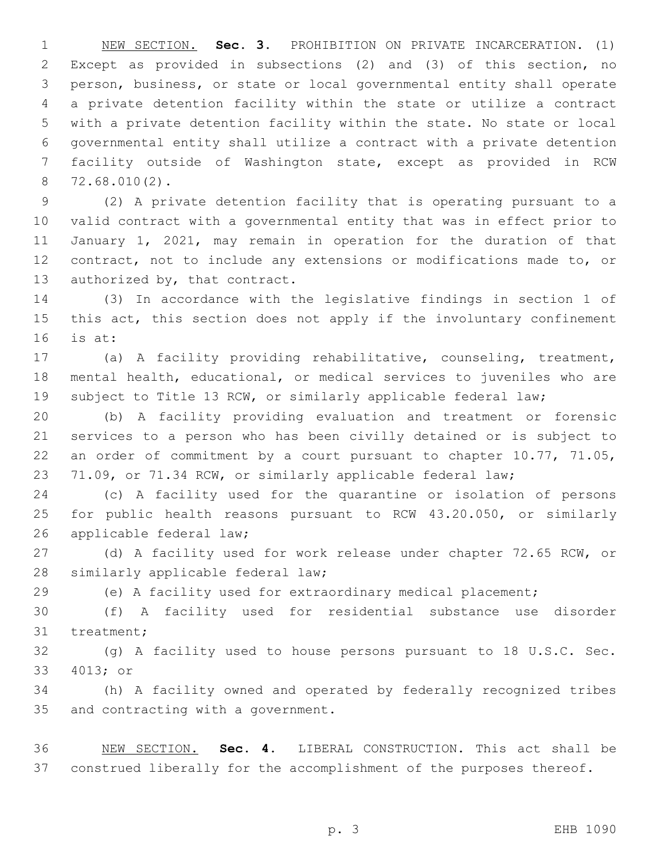NEW SECTION. **Sec. 3.** PROHIBITION ON PRIVATE INCARCERATION. (1) Except as provided in subsections (2) and (3) of this section, no person, business, or state or local governmental entity shall operate a private detention facility within the state or utilize a contract with a private detention facility within the state. No state or local governmental entity shall utilize a contract with a private detention facility outside of Washington state, except as provided in RCW 72.68.010(2).

 (2) A private detention facility that is operating pursuant to a valid contract with a governmental entity that was in effect prior to January 1, 2021, may remain in operation for the duration of that contract, not to include any extensions or modifications made to, or 13 authorized by, that contract.

 (3) In accordance with the legislative findings in section 1 of 15 this act, this section does not apply if the involuntary confinement is at:

 (a) A facility providing rehabilitative, counseling, treatment, mental health, educational, or medical services to juveniles who are subject to Title 13 RCW, or similarly applicable federal law;

 (b) A facility providing evaluation and treatment or forensic services to a person who has been civilly detained or is subject to an order of commitment by a court pursuant to chapter 10.77, 71.05, 71.09, or 71.34 RCW, or similarly applicable federal law;

 (c) A facility used for the quarantine or isolation of persons for public health reasons pursuant to RCW 43.20.050, or similarly 26 applicable federal law;

 (d) A facility used for work release under chapter 72.65 RCW, or 28 similarly applicable federal law;

(e) A facility used for extraordinary medical placement;

 (f) A facility used for residential substance use disorder 31 treatment;

 (g) A facility used to house persons pursuant to 18 U.S.C. Sec. 33 4013; or

 (h) A facility owned and operated by federally recognized tribes 35 and contracting with a government.

 NEW SECTION. **Sec. 4.** LIBERAL CONSTRUCTION. This act shall be construed liberally for the accomplishment of the purposes thereof.